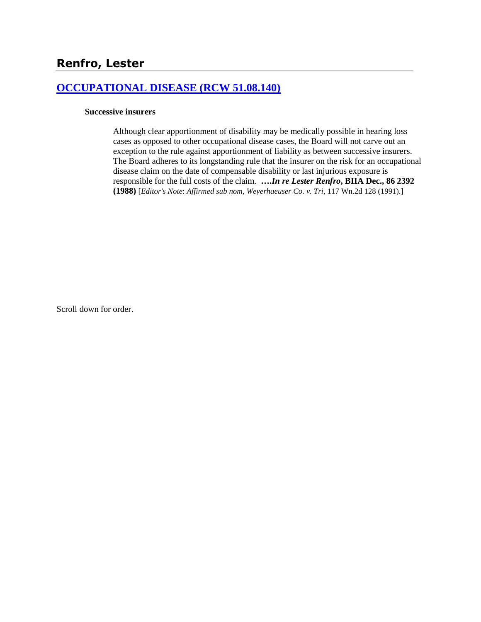# **[OCCUPATIONAL DISEASE \(RCW 51.08.140\)](http://www.biia.wa.gov/SDSubjectIndex.html#OCCUPATIONAL_DISEASE)**

#### **Successive insurers**

Although clear apportionment of disability may be medically possible in hearing loss cases as opposed to other occupational disease cases, the Board will not carve out an exception to the rule against apportionment of liability as between successive insurers. The Board adheres to its longstanding rule that the insurer on the risk for an occupational disease claim on the date of compensable disability or last injurious exposure is responsible for the full costs of the claim. **….***In re Lester Renfro***, BIIA Dec., 86 2392 (1988)** [*Editor's Note*: *Affirmed sub nom*, *Weyerhaeuser Co. v. Tri*, 117 Wn.2d 128 (1991).]

Scroll down for order.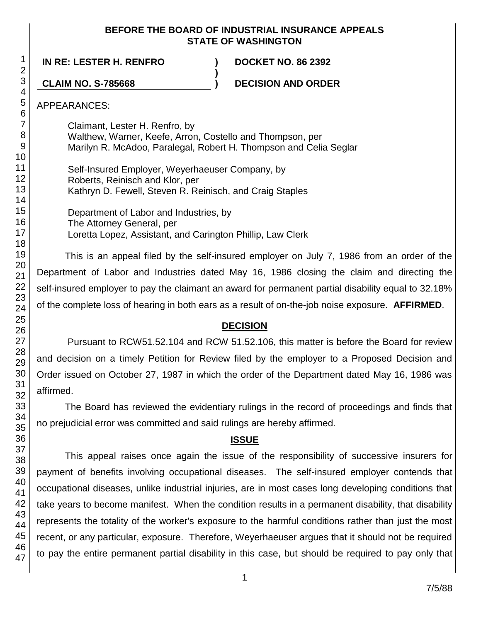#### **BEFORE THE BOARD OF INDUSTRIAL INSURANCE APPEALS STATE OF WASHINGTON**

**IN RE: LESTER H. RENFRO ) DOCKET NO. 86 2392**

**CLAIM NO. S-785668 ) DECISION AND ORDER**

APPEARANCES:

Claimant, Lester H. Renfro, by Walthew, Warner, Keefe, Arron, Costello and Thompson, per Marilyn R. McAdoo, Paralegal, Robert H. Thompson and Celia Seglar

**)**

Self-Insured Employer, Weyerhaeuser Company, by Roberts, Reinisch and Klor, per Kathryn D. Fewell, Steven R. Reinisch, and Craig Staples

Department of Labor and Industries, by The Attorney General, per Loretta Lopez, Assistant, and Carington Phillip, Law Clerk

This is an appeal filed by the self-insured employer on July 7, 1986 from an order of the Department of Labor and Industries dated May 16, 1986 closing the claim and directing the self-insured employer to pay the claimant an award for permanent partial disability equal to 32.18% of the complete loss of hearing in both ears as a result of on-the-job noise exposure. **AFFIRMED**.

# **DECISION**

Pursuant to RCW51.52.104 and RCW 51.52.106, this matter is before the Board for review and decision on a timely Petition for Review filed by the employer to a Proposed Decision and Order issued on October 27, 1987 in which the order of the Department dated May 16, 1986 was affirmed.

The Board has reviewed the evidentiary rulings in the record of proceedings and finds that no prejudicial error was committed and said rulings are hereby affirmed.

# **ISSUE**

This appeal raises once again the issue of the responsibility of successive insurers for payment of benefits involving occupational diseases. The self-insured employer contends that occupational diseases, unlike industrial injuries, are in most cases long developing conditions that take years to become manifest. When the condition results in a permanent disability, that disability represents the totality of the worker's exposure to the harmful conditions rather than just the most recent, or any particular, exposure. Therefore, Weyerhaeuser argues that it should not be required to pay the entire permanent partial disability in this case, but should be required to pay only that

1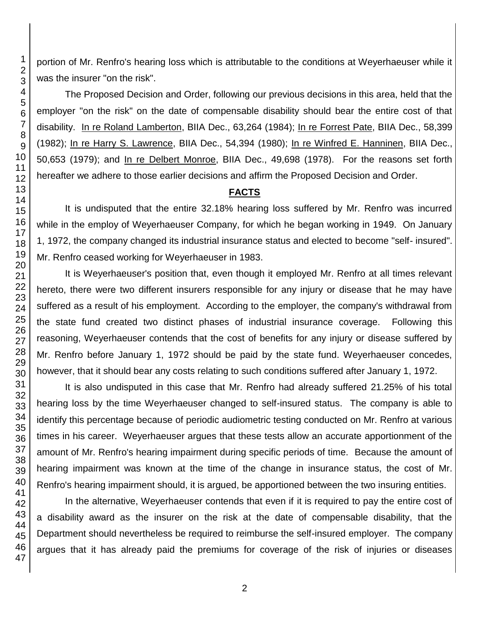portion of Mr. Renfro's hearing loss which is attributable to the conditions at Weyerhaeuser while it was the insurer "on the risk".

The Proposed Decision and Order, following our previous decisions in this area, held that the employer "on the risk" on the date of compensable disability should bear the entire cost of that disability. In re Roland Lamberton, BIIA Dec., 63,264 (1984); In re Forrest Pate, BIIA Dec., 58,399 (1982); In re Harry S. Lawrence, BIIA Dec., 54,394 (1980); In re Winfred E. Hanninen, BIIA Dec., 50,653 (1979); and In re Delbert Monroe, BIIA Dec., 49,698 (1978). For the reasons set forth hereafter we adhere to those earlier decisions and affirm the Proposed Decision and Order.

#### **FACTS**

It is undisputed that the entire 32.18% hearing loss suffered by Mr. Renfro was incurred while in the employ of Weyerhaeuser Company, for which he began working in 1949. On January 1, 1972, the company changed its industrial insurance status and elected to become "self- insured". Mr. Renfro ceased working for Weyerhaeuser in 1983.

It is Weyerhaeuser's position that, even though it employed Mr. Renfro at all times relevant hereto, there were two different insurers responsible for any injury or disease that he may have suffered as a result of his employment. According to the employer, the company's withdrawal from the state fund created two distinct phases of industrial insurance coverage. Following this reasoning, Weyerhaeuser contends that the cost of benefits for any injury or disease suffered by Mr. Renfro before January 1, 1972 should be paid by the state fund. Weyerhaeuser concedes, however, that it should bear any costs relating to such conditions suffered after January 1, 1972.

It is also undisputed in this case that Mr. Renfro had already suffered 21.25% of his total hearing loss by the time Weyerhaeuser changed to self-insured status. The company is able to identify this percentage because of periodic audiometric testing conducted on Mr. Renfro at various times in his career. Weyerhaeuser argues that these tests allow an accurate apportionment of the amount of Mr. Renfro's hearing impairment during specific periods of time. Because the amount of hearing impairment was known at the time of the change in insurance status, the cost of Mr. Renfro's hearing impairment should, it is argued, be apportioned between the two insuring entities.

In the alternative, Weyerhaeuser contends that even if it is required to pay the entire cost of a disability award as the insurer on the risk at the date of compensable disability, that the Department should nevertheless be required to reimburse the self-insured employer. The company argues that it has already paid the premiums for coverage of the risk of injuries or diseases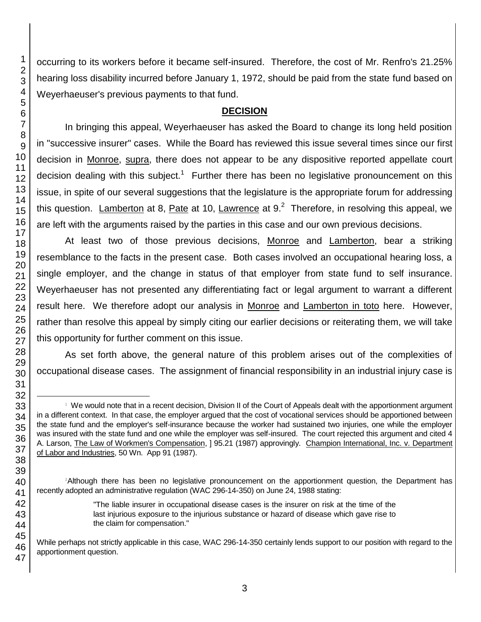occurring to its workers before it became self-insured. Therefore, the cost of Mr. Renfro's 21.25% hearing loss disability incurred before January 1, 1972, should be paid from the state fund based on Weyerhaeuser's previous payments to that fund.

### **DECISION**

In bringing this appeal, Weyerhaeuser has asked the Board to change its long held position in "successive insurer" cases. While the Board has reviewed this issue several times since our first decision in Monroe, supra, there does not appear to be any dispositive reported appellate court decision dealing with this subject.<sup>1</sup> Further there has been no legislative pronouncement on this issue, in spite of our several suggestions that the legislature is the appropriate forum for addressing this question. Lamberton at 8, Pate at 10, Lawrence at 9.<sup>2</sup> Therefore, in resolving this appeal, we are left with the arguments raised by the parties in this case and our own previous decisions.

At least two of those previous decisions, Monroe and Lamberton, bear a striking resemblance to the facts in the present case. Both cases involved an occupational hearing loss, a single employer, and the change in status of that employer from state fund to self insurance. Weyerhaeuser has not presented any differentiating fact or legal argument to warrant a different result here. We therefore adopt our analysis in Monroe and Lamberton in toto here. However, rather than resolve this appeal by simply citing our earlier decisions or reiterating them, we will take this opportunity for further comment on this issue.

As set forth above, the general nature of this problem arises out of the complexities of occupational disease cases. The assignment of financial responsibility in an industrial injury case is

l We would note that in a recent decision, Division II of the Court of Appeals dealt with the apportionment argument in a different context. In that case, the employer argued that the cost of vocational services should be apportioned between the state fund and the employer's self-insurance because the worker had sustained two injuries, one while the employer was insured with the state fund and one while the employer was self-insured. The court rejected this argument and cited 4 A. Larson, The Law of Workmen's Compensation, ] 95.21 (1987) approvingly. Champion International, Inc. v. Department of Labor and Industries, 50 Wn. App 91 (1987).

Although there has been no legislative pronouncement on the apportionment question, the Department has recently adopted an administrative regulation (WAC 296-14-350) on June 24, 1988 stating:

<sup>&</sup>quot;The liable insurer in occupational disease cases is the insurer on risk at the time of the last injurious exposure to the injurious substance or hazard of disease which gave rise to the claim for compensation."

While perhaps not strictly applicable in this case, WAC 296-14-350 certainly lends support to our position with regard to the apportionment question.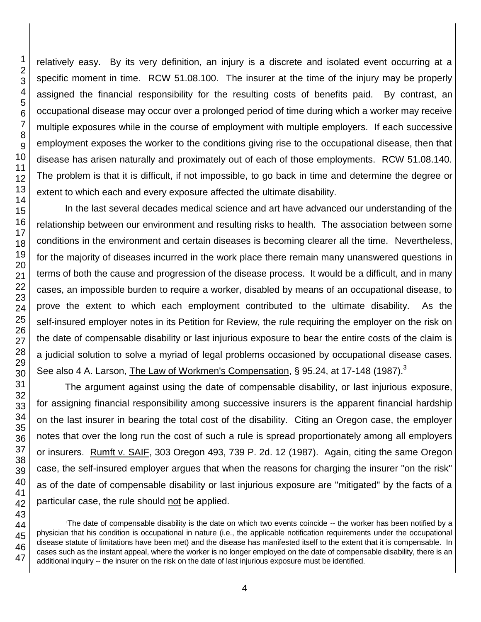1 2 3 4 5 6 7 8 9 10 11 12 13 14 15 16 17 18 19 20 21 22 23 relatively easy. By its very definition, an injury is a discrete and isolated event occurring at a specific moment in time. RCW 51.08.100. The insurer at the time of the injury may be properly assigned the financial responsibility for the resulting costs of benefits paid. By contrast, an occupational disease may occur over a prolonged period of time during which a worker may receive multiple exposures while in the course of employment with multiple employers. If each successive employment exposes the worker to the conditions giving rise to the occupational disease, then that disease has arisen naturally and proximately out of each of those employments. RCW 51.08.140. The problem is that it is difficult, if not impossible, to go back in time and determine the degree or extent to which each and every exposure affected the ultimate disability. In the last several decades medical science and art have advanced our understanding of the

relationship between our environment and resulting risks to health. The association between some conditions in the environment and certain diseases is becoming clearer all the time. Nevertheless, for the majority of diseases incurred in the work place there remain many unanswered questions in terms of both the cause and progression of the disease process. It would be a difficult, and in many cases, an impossible burden to require a worker, disabled by means of an occupational disease, to prove the extent to which each employment contributed to the ultimate disability. As the self-insured employer notes in its Petition for Review, the rule requiring the employer on the risk on the date of compensable disability or last injurious exposure to bear the entire costs of the claim is a judicial solution to solve a myriad of legal problems occasioned by occupational disease cases. See also 4 A. Larson, The Law of Workmen's Compensation, § 95.24, at 17-148 (1987).<sup>3</sup>

The argument against using the date of compensable disability, or last injurious exposure, for assigning financial responsibility among successive insurers is the apparent financial hardship on the last insurer in bearing the total cost of the disability. Citing an Oregon case, the employer notes that over the long run the cost of such a rule is spread proportionately among all employers or insurers. Rumft v. SAIF, 303 Oregon 493, 739 P. 2d. 12 (1987). Again, citing the same Oregon case, the self-insured employer argues that when the reasons for charging the insurer "on the risk" as of the date of compensable disability or last injurious exposure are "mitigated" by the facts of a particular case, the rule should not be applied.

l

<sup>&</sup>lt;sup>3</sup>The date of compensable disability is the date on which two events coincide -- the worker has been notified by a physician that his condition is occupational in nature (i.e., the applicable notification requirements under the occupational disease statute of limitations have been met) and the disease has manifested itself to the extent that it is compensable. In cases such as the instant appeal, where the worker is no longer employed on the date of compensable disability, there is an additional inquiry -- the insurer on the risk on the date of last injurious exposure must be identified.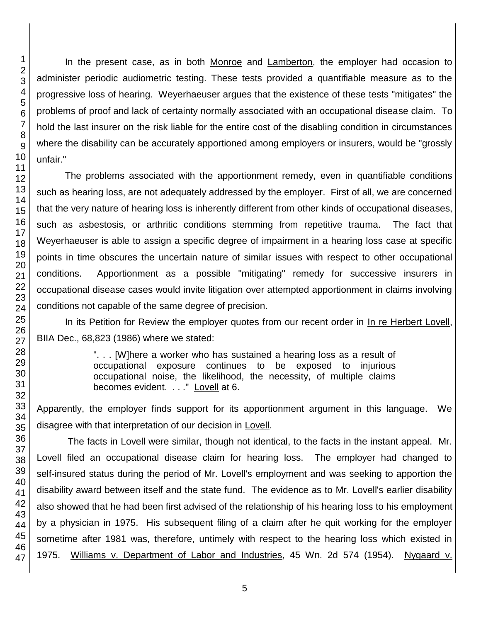In the present case, as in both Monroe and Lamberton, the employer had occasion to administer periodic audiometric testing. These tests provided a quantifiable measure as to the progressive loss of hearing. Weyerhaeuser argues that the existence of these tests "mitigates" the problems of proof and lack of certainty normally associated with an occupational disease claim. To hold the last insurer on the risk liable for the entire cost of the disabling condition in circumstances where the disability can be accurately apportioned among employers or insurers, would be "grossly unfair."

The problems associated with the apportionment remedy, even in quantifiable conditions such as hearing loss, are not adequately addressed by the employer. First of all, we are concerned that the very nature of hearing loss is inherently different from other kinds of occupational diseases, such as asbestosis, or arthritic conditions stemming from repetitive trauma. The fact that Weyerhaeuser is able to assign a specific degree of impairment in a hearing loss case at specific points in time obscures the uncertain nature of similar issues with respect to other occupational conditions. Apportionment as a possible "mitigating" remedy for successive insurers in occupational disease cases would invite litigation over attempted apportionment in claims involving conditions not capable of the same degree of precision.

In its Petition for Review the employer quotes from our recent order in In re Herbert Lovell, BIIA Dec., 68,823 (1986) where we stated:

> ". . . [W]here a worker who has sustained a hearing loss as a result of occupational exposure continues to be exposed to injurious occupational noise, the likelihood, the necessity, of multiple claims becomes evident. . . ." Lovell at 6.

Apparently, the employer finds support for its apportionment argument in this language. We disagree with that interpretation of our decision in Lovell.

The facts in Lovell were similar, though not identical, to the facts in the instant appeal. Mr. Lovell filed an occupational disease claim for hearing loss. The employer had changed to self-insured status during the period of Mr. Lovell's employment and was seeking to apportion the disability award between itself and the state fund. The evidence as to Mr. Lovell's earlier disability also showed that he had been first advised of the relationship of his hearing loss to his employment by a physician in 1975. His subsequent filing of a claim after he quit working for the employer sometime after 1981 was, therefore, untimely with respect to the hearing loss which existed in 1975. Williams v. Department of Labor and Industries, 45 Wn. 2d 574 (1954). Nygaard v.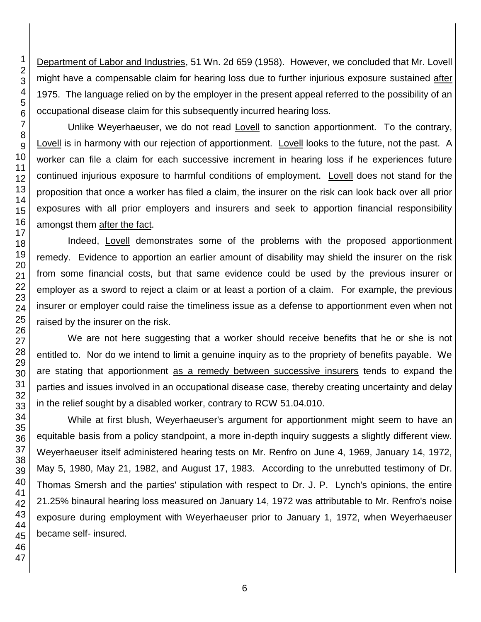Department of Labor and Industries, 51 Wn. 2d 659 (1958). However, we concluded that Mr. Lovell might have a compensable claim for hearing loss due to further injurious exposure sustained after 1975. The language relied on by the employer in the present appeal referred to the possibility of an occupational disease claim for this subsequently incurred hearing loss.

Unlike Weyerhaeuser, we do not read Lovell to sanction apportionment. To the contrary, Lovell is in harmony with our rejection of apportionment. Lovell looks to the future, not the past. A worker can file a claim for each successive increment in hearing loss if he experiences future continued injurious exposure to harmful conditions of employment. Lovell does not stand for the proposition that once a worker has filed a claim, the insurer on the risk can look back over all prior exposures with all prior employers and insurers and seek to apportion financial responsibility amongst them after the fact.

Indeed, Lovell demonstrates some of the problems with the proposed apportionment remedy. Evidence to apportion an earlier amount of disability may shield the insurer on the risk from some financial costs, but that same evidence could be used by the previous insurer or employer as a sword to reject a claim or at least a portion of a claim. For example, the previous insurer or employer could raise the timeliness issue as a defense to apportionment even when not raised by the insurer on the risk.

We are not here suggesting that a worker should receive benefits that he or she is not entitled to. Nor do we intend to limit a genuine inquiry as to the propriety of benefits payable. We are stating that apportionment as a remedy between successive insurers tends to expand the parties and issues involved in an occupational disease case, thereby creating uncertainty and delay in the relief sought by a disabled worker, contrary to RCW 51.04.010.

While at first blush, Weyerhaeuser's argument for apportionment might seem to have an equitable basis from a policy standpoint, a more in-depth inquiry suggests a slightly different view. Weyerhaeuser itself administered hearing tests on Mr. Renfro on June 4, 1969, January 14, 1972, May 5, 1980, May 21, 1982, and August 17, 1983. According to the unrebutted testimony of Dr. Thomas Smersh and the parties' stipulation with respect to Dr. J. P. Lynch's opinions, the entire 21.25% binaural hearing loss measured on January 14, 1972 was attributable to Mr. Renfro's noise exposure during employment with Weyerhaeuser prior to January 1, 1972, when Weyerhaeuser became self- insured.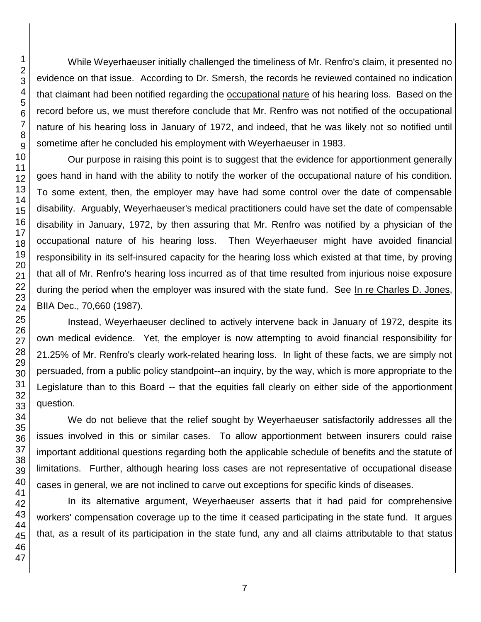While Weyerhaeuser initially challenged the timeliness of Mr. Renfro's claim, it presented no evidence on that issue. According to Dr. Smersh, the records he reviewed contained no indication that claimant had been notified regarding the **occupational nature** of his hearing loss. Based on the record before us, we must therefore conclude that Mr. Renfro was not notified of the occupational nature of his hearing loss in January of 1972, and indeed, that he was likely not so notified until sometime after he concluded his employment with Weyerhaeuser in 1983.

Our purpose in raising this point is to suggest that the evidence for apportionment generally goes hand in hand with the ability to notify the worker of the occupational nature of his condition. To some extent, then, the employer may have had some control over the date of compensable disability. Arguably, Weyerhaeuser's medical practitioners could have set the date of compensable disability in January, 1972, by then assuring that Mr. Renfro was notified by a physician of the occupational nature of his hearing loss. Then Weyerhaeuser might have avoided financial responsibility in its self-insured capacity for the hearing loss which existed at that time, by proving that all of Mr. Renfro's hearing loss incurred as of that time resulted from injurious noise exposure during the period when the employer was insured with the state fund. See In re Charles D. Jones, BIIA Dec., 70,660 (1987).

Instead, Weyerhaeuser declined to actively intervene back in January of 1972, despite its own medical evidence. Yet, the employer is now attempting to avoid financial responsibility for 21.25% of Mr. Renfro's clearly work-related hearing loss. In light of these facts, we are simply not persuaded, from a public policy standpoint--an inquiry, by the way, which is more appropriate to the Legislature than to this Board -- that the equities fall clearly on either side of the apportionment question.

We do not believe that the relief sought by Weyerhaeuser satisfactorily addresses all the issues involved in this or similar cases. To allow apportionment between insurers could raise important additional questions regarding both the applicable schedule of benefits and the statute of limitations. Further, although hearing loss cases are not representative of occupational disease cases in general, we are not inclined to carve out exceptions for specific kinds of diseases.

In its alternative argument, Weyerhaeuser asserts that it had paid for comprehensive workers' compensation coverage up to the time it ceased participating in the state fund. It argues that, as a result of its participation in the state fund, any and all claims attributable to that status